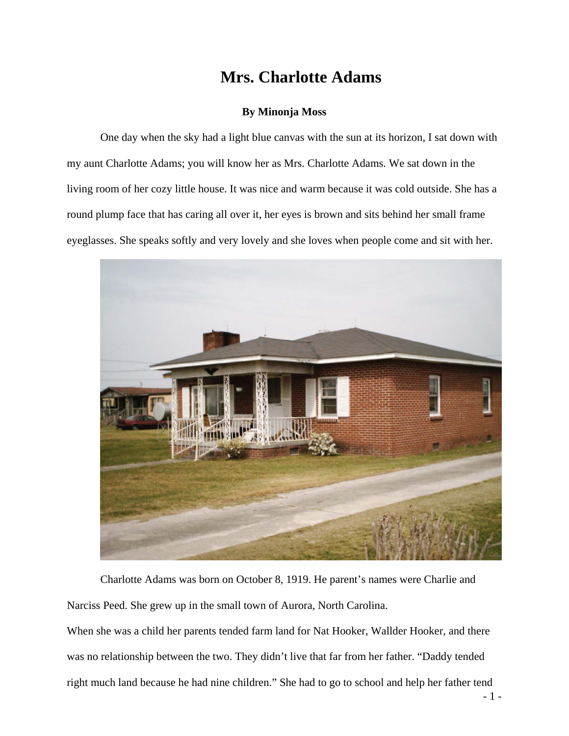## **Mrs. Charlotte Adams**

## **By Minonja Moss**

One day when the sky had a light blue canvas with the sun at its horizon, I sat down with my aunt Charlotte Adams; you will know her as Mrs. Charlotte Adams. We sat down in the living room of her cozy little house. It was nice and warm because it was cold outside. She has a round plump face that has caring all over it, her eyes is brown and sits behind her small frame eyeglasses. She speaks softly and very lovely and she loves when people come and sit with her.



Charlotte Adams was born on October 8, 1919. He parent's names were Charlie and Narciss Peed. She grew up in the small town of Aurora, North Carolina.

When she was a child her parents tended farm land for Nat Hooker, Wallder Hooker, and there was no relationship between the two. They didn't live that far from her father. "Daddy tended right much land because he had nine children." She had to go to school and help her father tend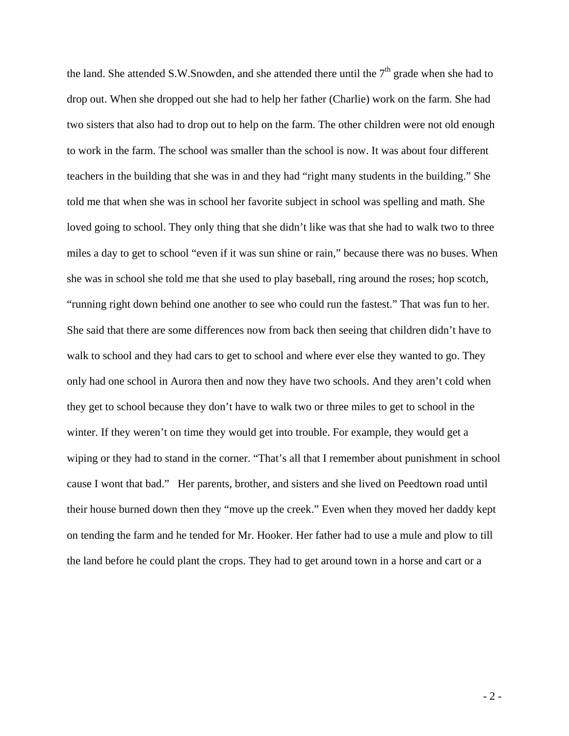the land. She attended S.W.Snowden, and she attended there until the  $7<sup>th</sup>$  grade when she had to drop out. When she dropped out she had to help her father (Charlie) work on the farm. She had two sisters that also had to drop out to help on the farm. The other children were not old enough to work in the farm. The school was smaller than the school is now. It was about four different teachers in the building that she was in and they had "right many students in the building." She told me that when she was in school her favorite subject in school was spelling and math. She loved going to school. They only thing that she didn't like was that she had to walk two to three miles a day to get to school "even if it was sun shine or rain," because there was no buses. When she was in school she told me that she used to play baseball, ring around the roses; hop scotch, "running right down behind one another to see who could run the fastest." That was fun to her. She said that there are some differences now from back then seeing that children didn't have to walk to school and they had cars to get to school and where ever else they wanted to go. They only had one school in Aurora then and now they have two schools. And they aren't cold when they get to school because they don't have to walk two or three miles to get to school in the winter. If they weren't on time they would get into trouble. For example, they would get a wiping or they had to stand in the corner. "That's all that I remember about punishment in school cause I wont that bad." Her parents, brother, and sisters and she lived on Peedtown road until their house burned down then they "move up the creek." Even when they moved her daddy kept on tending the farm and he tended for Mr. Hooker. Her father had to use a mule and plow to till the land before he could plant the crops. They had to get around town in a horse and cart or a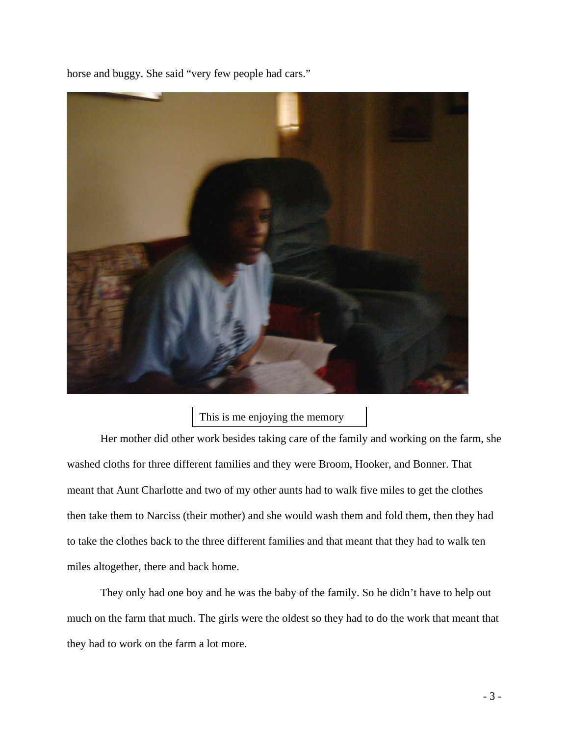horse and buggy. She said "very few people had cars."



## This is me enjoying the memory

Her mother did other work besides taking care of the family and working on the farm, she washed cloths for three different families and they were Broom, Hooker, and Bonner. That meant that Aunt Charlotte and two of my other aunts had to walk five miles to get the clothes then take them to Narciss (their mother) and she would wash them and fold them, then they had to take the clothes back to the three different families and that meant that they had to walk ten miles altogether, there and back home.

 They only had one boy and he was the baby of the family. So he didn't have to help out much on the farm that much. The girls were the oldest so they had to do the work that meant that they had to work on the farm a lot more.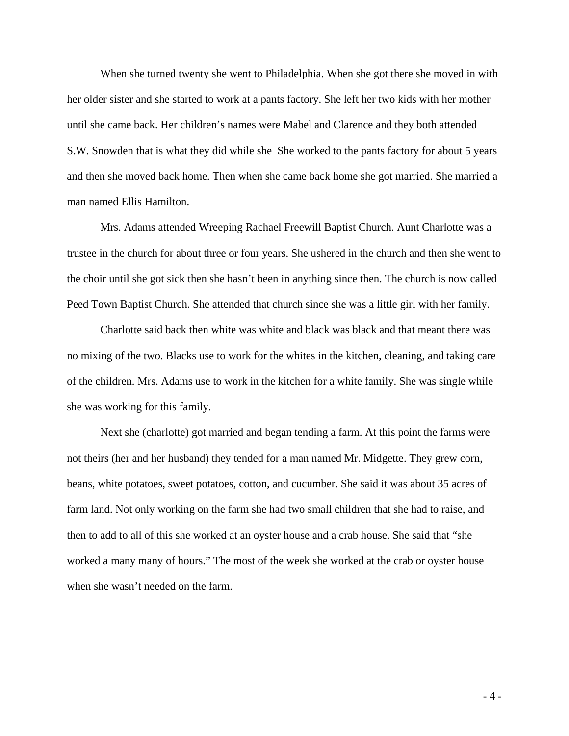When she turned twenty she went to Philadelphia. When she got there she moved in with her older sister and she started to work at a pants factory. She left her two kids with her mother until she came back. Her children's names were Mabel and Clarence and they both attended S.W. Snowden that is what they did while she She worked to the pants factory for about 5 years and then she moved back home. Then when she came back home she got married. She married a man named Ellis Hamilton.

 Mrs. Adams attended Wreeping Rachael Freewill Baptist Church. Aunt Charlotte was a trustee in the church for about three or four years. She ushered in the church and then she went to the choir until she got sick then she hasn't been in anything since then. The church is now called Peed Town Baptist Church. She attended that church since she was a little girl with her family.

Charlotte said back then white was white and black was black and that meant there was no mixing of the two. Blacks use to work for the whites in the kitchen, cleaning, and taking care of the children. Mrs. Adams use to work in the kitchen for a white family. She was single while she was working for this family.

Next she (charlotte) got married and began tending a farm. At this point the farms were not theirs (her and her husband) they tended for a man named Mr. Midgette. They grew corn, beans, white potatoes, sweet potatoes, cotton, and cucumber. She said it was about 35 acres of farm land. Not only working on the farm she had two small children that she had to raise, and then to add to all of this she worked at an oyster house and a crab house. She said that "she worked a many many of hours." The most of the week she worked at the crab or oyster house when she wasn't needed on the farm.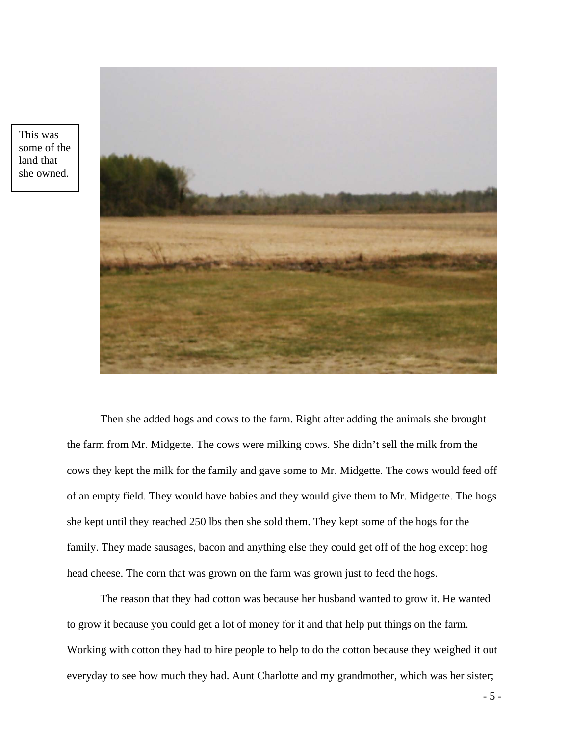

This was some of the land that she owned.

> Then she added hogs and cows to the farm. Right after adding the animals she brought the farm from Mr. Midgette. The cows were milking cows. She didn't sell the milk from the cows they kept the milk for the family and gave some to Mr. Midgette. The cows would feed off of an empty field. They would have babies and they would give them to Mr. Midgette. The hogs she kept until they reached 250 lbs then she sold them. They kept some of the hogs for the family. They made sausages, bacon and anything else they could get off of the hog except hog head cheese. The corn that was grown on the farm was grown just to feed the hogs.

> The reason that they had cotton was because her husband wanted to grow it. He wanted to grow it because you could get a lot of money for it and that help put things on the farm. Working with cotton they had to hire people to help to do the cotton because they weighed it out everyday to see how much they had. Aunt Charlotte and my grandmother, which was her sister;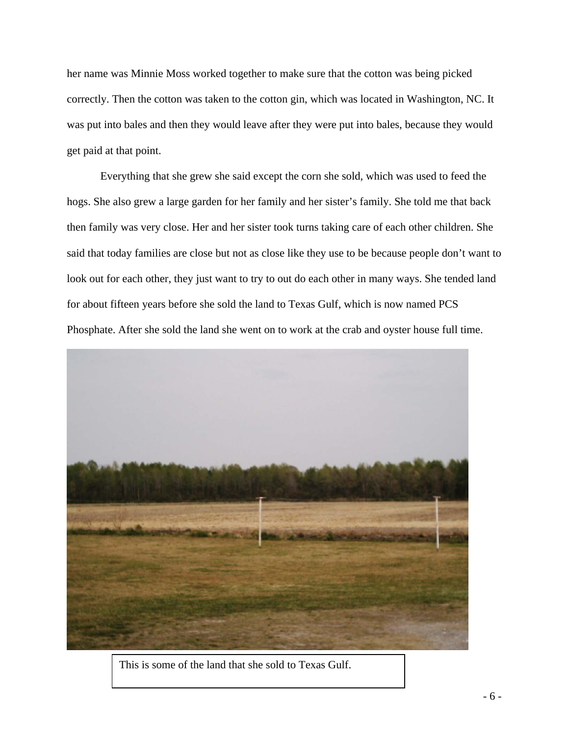her name was Minnie Moss worked together to make sure that the cotton was being picked correctly. Then the cotton was taken to the cotton gin, which was located in Washington, NC. It was put into bales and then they would leave after they were put into bales, because they would get paid at that point.

Everything that she grew she said except the corn she sold, which was used to feed the hogs. She also grew a large garden for her family and her sister's family. She told me that back then family was very close. Her and her sister took turns taking care of each other children. She said that today families are close but not as close like they use to be because people don't want to look out for each other, they just want to try to out do each other in many ways. She tended land for about fifteen years before she sold the land to Texas Gulf, which is now named PCS Phosphate. After she sold the land she went on to work at the crab and oyster house full time.



This is some of the land that she sold to Texas Gulf.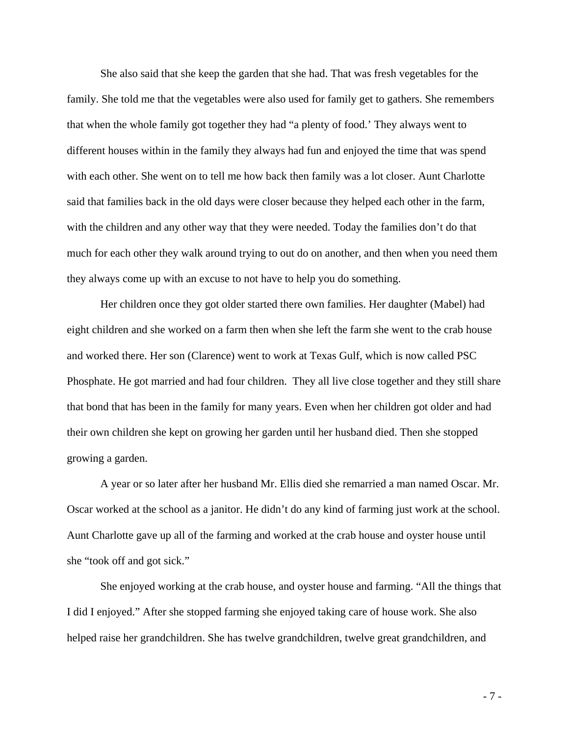She also said that she keep the garden that she had. That was fresh vegetables for the family. She told me that the vegetables were also used for family get to gathers. She remembers that when the whole family got together they had "a plenty of food.' They always went to different houses within in the family they always had fun and enjoyed the time that was spend with each other. She went on to tell me how back then family was a lot closer. Aunt Charlotte said that families back in the old days were closer because they helped each other in the farm, with the children and any other way that they were needed. Today the families don't do that much for each other they walk around trying to out do on another, and then when you need them they always come up with an excuse to not have to help you do something.

Her children once they got older started there own families. Her daughter (Mabel) had eight children and she worked on a farm then when she left the farm she went to the crab house and worked there. Her son (Clarence) went to work at Texas Gulf, which is now called PSC Phosphate. He got married and had four children. They all live close together and they still share that bond that has been in the family for many years. Even when her children got older and had their own children she kept on growing her garden until her husband died. Then she stopped growing a garden.

A year or so later after her husband Mr. Ellis died she remarried a man named Oscar. Mr. Oscar worked at the school as a janitor. He didn't do any kind of farming just work at the school. Aunt Charlotte gave up all of the farming and worked at the crab house and oyster house until she "took off and got sick."

She enjoyed working at the crab house, and oyster house and farming. "All the things that I did I enjoyed." After she stopped farming she enjoyed taking care of house work. She also helped raise her grandchildren. She has twelve grandchildren, twelve great grandchildren, and

- 7 -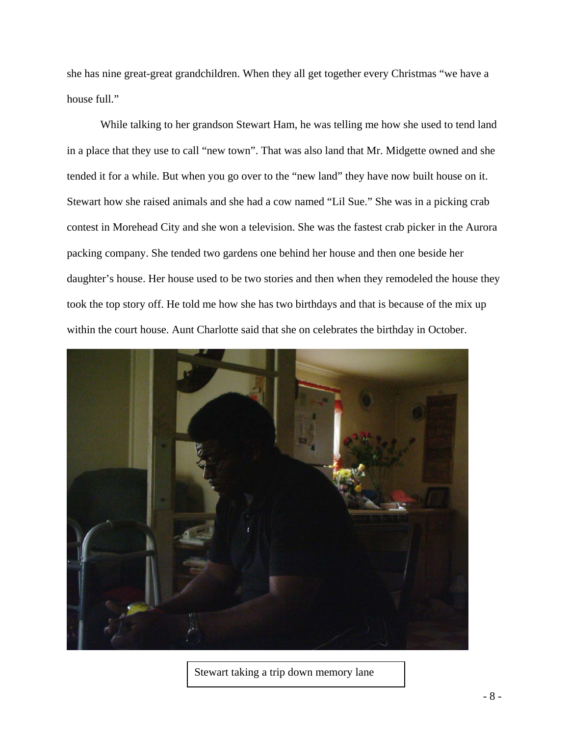she has nine great-great grandchildren. When they all get together every Christmas "we have a house full."

While talking to her grandson Stewart Ham, he was telling me how she used to tend land in a place that they use to call "new town". That was also land that Mr. Midgette owned and she tended it for a while. But when you go over to the "new land" they have now built house on it. Stewart how she raised animals and she had a cow named "Lil Sue." She was in a picking crab contest in Morehead City and she won a television. She was the fastest crab picker in the Aurora packing company. She tended two gardens one behind her house and then one beside her daughter's house. Her house used to be two stories and then when they remodeled the house they took the top story off. He told me how she has two birthdays and that is because of the mix up within the court house. Aunt Charlotte said that she on celebrates the birthday in October.



Stewart taking a trip down memory lane